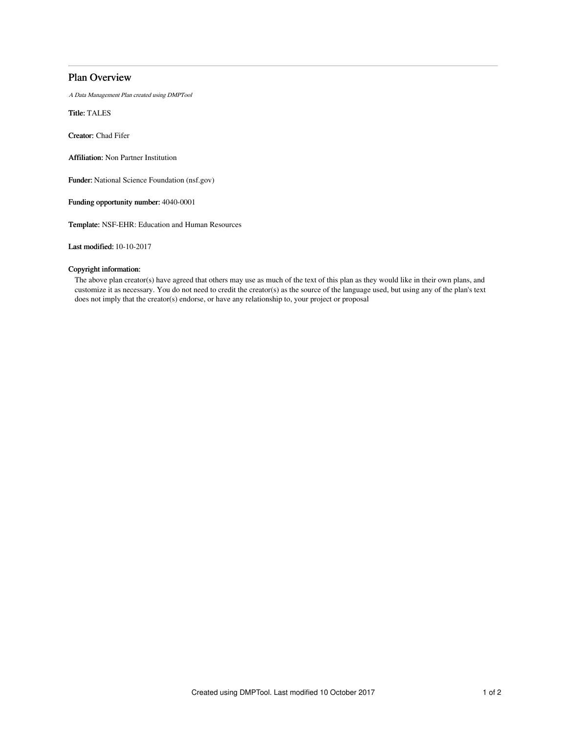## Plan Overview

A Data Management Plan created using DMPTool

Title: TALES

Creator: Chad Fifer

Affiliation: Non Partner Institution

Funder: National Science Foundation (nsf.gov)

Funding opportunity number: 4040-0001

Template: NSF-EHR: Education and Human Resources

Last modified: 10-10-2017

## Copyright information:

The above plan creator(s) have agreed that others may use as much of the text of this plan as they would like in their own plans, and customize it as necessary. You do not need to credit the creator(s) as the source of the language used, but using any of the plan's text does not imply that the creator(s) endorse, or have any relationship to, your project or proposal